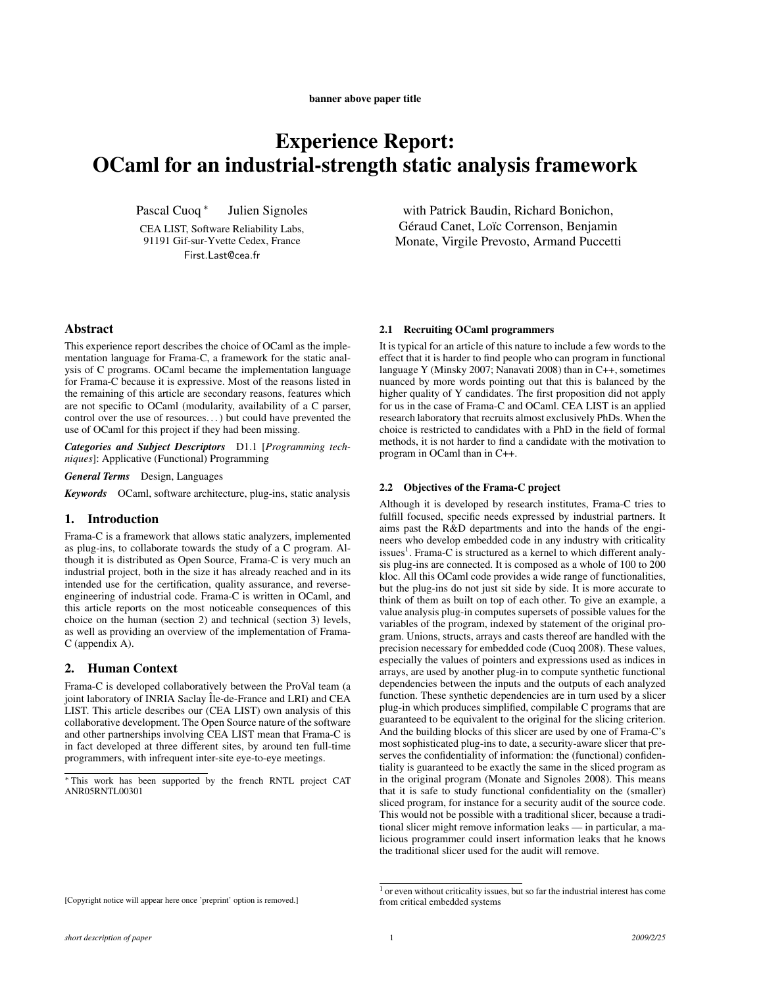# Experience Report: OCaml for an industrial-strength static analysis framework

Pascal Cuoq \* Julien Signoles

CEA LIST, Software Reliability Labs, 91191 Gif-sur-Yvette Cedex, France First.Last@cea.fr

with Patrick Baudin, Richard Bonichon, Géraud Canet, Loïc Correnson, Benjamin Monate, Virgile Prevosto, Armand Puccetti

## Abstract

This experience report describes the choice of OCaml as the implementation language for Frama-C, a framework for the static analysis of C programs. OCaml became the implementation language for Frama-C because it is expressive. Most of the reasons listed in the remaining of this article are secondary reasons, features which are not specific to OCaml (modularity, availability of a C parser, control over the use of resources. . . ) but could have prevented the use of OCaml for this project if they had been missing.

*Categories and Subject Descriptors* D1.1 [*Programming techniques*]: Applicative (Functional) Programming

*General Terms* Design, Languages

*Keywords* OCaml, software architecture, plug-ins, static analysis

#### 1. Introduction

Frama-C is a framework that allows static analyzers, implemented as plug-ins, to collaborate towards the study of a C program. Although it is distributed as Open Source, Frama-C is very much an industrial project, both in the size it has already reached and in its intended use for the certification, quality assurance, and reverseengineering of industrial code. Frama-C is written in OCaml, and this article reports on the most noticeable consequences of this choice on the human (section 2) and technical (section 3) levels, as well as providing an overview of the implementation of Frama-C (appendix A).

## 2. Human Context

Frama-C is developed collaboratively between the ProVal team (a joint laboratory of INRIA Saclay Île-de-France and LRI) and CEA LIST. This article describes our (CEA LIST) own analysis of this collaborative development. The Open Source nature of the software and other partnerships involving CEA LIST mean that Frama-C is in fact developed at three different sites, by around ten full-time programmers, with infrequent inter-site eye-to-eye meetings.

#### 2.1 Recruiting OCaml programmers

It is typical for an article of this nature to include a few words to the effect that it is harder to find people who can program in functional language Y (Minsky 2007; Nanavati 2008) than in C++, sometimes nuanced by more words pointing out that this is balanced by the higher quality of Y candidates. The first proposition did not apply for us in the case of Frama-C and OCaml. CEA LIST is an applied research laboratory that recruits almost exclusively PhDs. When the choice is restricted to candidates with a PhD in the field of formal methods, it is not harder to find a candidate with the motivation to program in OCaml than in C++.

#### 2.2 Objectives of the Frama-C project

Although it is developed by research institutes, Frama-C tries to fulfill focused, specific needs expressed by industrial partners. It aims past the R&D departments and into the hands of the engineers who develop embedded code in any industry with criticality issues<sup>1</sup>. Frama-C is structured as a kernel to which different analysis plug-ins are connected. It is composed as a whole of 100 to 200 kloc. All this OCaml code provides a wide range of functionalities, but the plug-ins do not just sit side by side. It is more accurate to think of them as built on top of each other. To give an example, a value analysis plug-in computes supersets of possible values for the variables of the program, indexed by statement of the original program. Unions, structs, arrays and casts thereof are handled with the precision necessary for embedded code (Cuoq 2008). These values, especially the values of pointers and expressions used as indices in arrays, are used by another plug-in to compute synthetic functional dependencies between the inputs and the outputs of each analyzed function. These synthetic dependencies are in turn used by a slicer plug-in which produces simplified, compilable C programs that are guaranteed to be equivalent to the original for the slicing criterion. And the building blocks of this slicer are used by one of Frama-C's most sophisticated plug-ins to date, a security-aware slicer that preserves the confidentiality of information: the (functional) confidentiality is guaranteed to be exactly the same in the sliced program as in the original program (Monate and Signoles 2008). This means that it is safe to study functional confidentiality on the (smaller) sliced program, for instance for a security audit of the source code. This would not be possible with a traditional slicer, because a traditional slicer might remove information leaks — in particular, a malicious programmer could insert information leaks that he knows the traditional slicer used for the audit will remove.

[Copyright notice will appear here once 'preprint' option is removed.]

<sup>∗</sup> This work has been supported by the french RNTL project CAT ANR05RNTL00301

 $<sup>1</sup>$  or even without criticality issues, but so far the industrial interest has come</sup> from critical embedded systems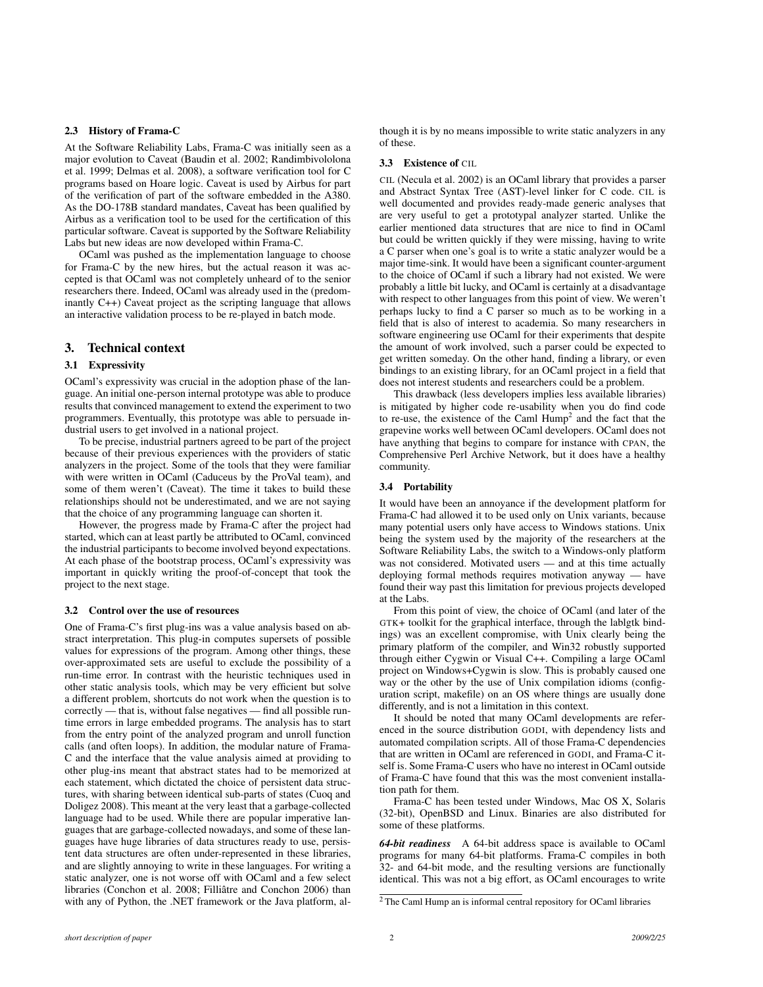#### 2.3 History of Frama-C

At the Software Reliability Labs, Frama-C was initially seen as a major evolution to Caveat (Baudin et al. 2002; Randimbivololona et al. 1999; Delmas et al. 2008), a software verification tool for C programs based on Hoare logic. Caveat is used by Airbus for part of the verification of part of the software embedded in the A380. As the DO-178B standard mandates, Caveat has been qualified by Airbus as a verification tool to be used for the certification of this particular software. Caveat is supported by the Software Reliability Labs but new ideas are now developed within Frama-C.

OCaml was pushed as the implementation language to choose for Frama-C by the new hires, but the actual reason it was accepted is that OCaml was not completely unheard of to the senior researchers there. Indeed, OCaml was already used in the (predominantly C++) Caveat project as the scripting language that allows an interactive validation process to be re-played in batch mode.

## 3. Technical context

#### 3.1 Expressivity

OCaml's expressivity was crucial in the adoption phase of the language. An initial one-person internal prototype was able to produce results that convinced management to extend the experiment to two programmers. Eventually, this prototype was able to persuade industrial users to get involved in a national project.

To be precise, industrial partners agreed to be part of the project because of their previous experiences with the providers of static analyzers in the project. Some of the tools that they were familiar with were written in OCaml (Caduceus by the ProVal team), and some of them weren't (Caveat). The time it takes to build these relationships should not be underestimated, and we are not saying that the choice of any programming language can shorten it.

However, the progress made by Frama-C after the project had started, which can at least partly be attributed to OCaml, convinced the industrial participants to become involved beyond expectations. At each phase of the bootstrap process, OCaml's expressivity was important in quickly writing the proof-of-concept that took the project to the next stage.

#### 3.2 Control over the use of resources

One of Frama-C's first plug-ins was a value analysis based on abstract interpretation. This plug-in computes supersets of possible values for expressions of the program. Among other things, these over-approximated sets are useful to exclude the possibility of a run-time error. In contrast with the heuristic techniques used in other static analysis tools, which may be very efficient but solve a different problem, shortcuts do not work when the question is to correctly — that is, without false negatives — find all possible runtime errors in large embedded programs. The analysis has to start from the entry point of the analyzed program and unroll function calls (and often loops). In addition, the modular nature of Frama-C and the interface that the value analysis aimed at providing to other plug-ins meant that abstract states had to be memorized at each statement, which dictated the choice of persistent data structures, with sharing between identical sub-parts of states (Cuoq and Doligez 2008). This meant at the very least that a garbage-collected language had to be used. While there are popular imperative languages that are garbage-collected nowadays, and some of these languages have huge libraries of data structures ready to use, persistent data structures are often under-represented in these libraries, and are slightly annoying to write in these languages. For writing a static analyzer, one is not worse off with OCaml and a few select libraries (Conchon et al. 2008; Filliâtre and Conchon 2006) than with any of Python, the .NET framework or the Java platform, although it is by no means impossible to write static analyzers in any of these.

#### 3.3 Existence of CIL

CIL (Necula et al. 2002) is an OCaml library that provides a parser and Abstract Syntax Tree (AST)-level linker for C code. CIL is well documented and provides ready-made generic analyses that are very useful to get a prototypal analyzer started. Unlike the earlier mentioned data structures that are nice to find in OCaml but could be written quickly if they were missing, having to write a C parser when one's goal is to write a static analyzer would be a major time-sink. It would have been a significant counter-argument to the choice of OCaml if such a library had not existed. We were probably a little bit lucky, and OCaml is certainly at a disadvantage with respect to other languages from this point of view. We weren't perhaps lucky to find a C parser so much as to be working in a field that is also of interest to academia. So many researchers in software engineering use OCaml for their experiments that despite the amount of work involved, such a parser could be expected to get written someday. On the other hand, finding a library, or even bindings to an existing library, for an OCaml project in a field that does not interest students and researchers could be a problem.

This drawback (less developers implies less available libraries) is mitigated by higher code re-usability when you do find code to re-use, the existence of the Caml Hump2 and the fact that the grapevine works well between OCaml developers. OCaml does not have anything that begins to compare for instance with CPAN, the Comprehensive Perl Archive Network, but it does have a healthy community.

## 3.4 Portability

It would have been an annoyance if the development platform for Frama-C had allowed it to be used only on Unix variants, because many potential users only have access to Windows stations. Unix being the system used by the majority of the researchers at the Software Reliability Labs, the switch to a Windows-only platform was not considered. Motivated users — and at this time actually deploying formal methods requires motivation anyway — have found their way past this limitation for previous projects developed at the Labs.

From this point of view, the choice of OCaml (and later of the GTK+ toolkit for the graphical interface, through the lablgtk bindings) was an excellent compromise, with Unix clearly being the primary platform of the compiler, and Win32 robustly supported through either Cygwin or Visual C++. Compiling a large OCaml project on Windows+Cygwin is slow. This is probably caused one way or the other by the use of Unix compilation idioms (configuration script, makefile) on an OS where things are usually done differently, and is not a limitation in this context.

It should be noted that many OCaml developments are referenced in the source distribution GODI, with dependency lists and automated compilation scripts. All of those Frama-C dependencies that are written in OCaml are referenced in GODI, and Frama-C itself is. Some Frama-C users who have no interest in OCaml outside of Frama-C have found that this was the most convenient installation path for them.

Frama-C has been tested under Windows, Mac OS X, Solaris (32-bit), OpenBSD and Linux. Binaries are also distributed for some of these platforms.

*64-bit readiness* A 64-bit address space is available to OCaml programs for many 64-bit platforms. Frama-C compiles in both 32- and 64-bit mode, and the resulting versions are functionally identical. This was not a big effort, as OCaml encourages to write

 $2$  The Caml Hump an is informal central repository for OCaml libraries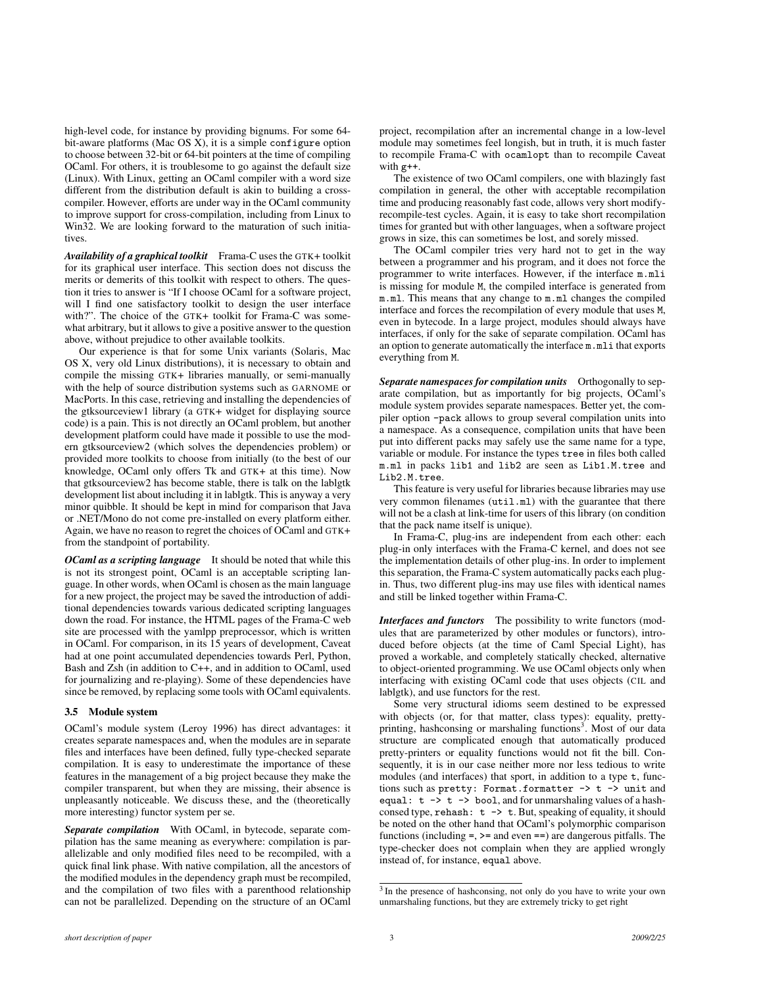high-level code, for instance by providing bignums. For some 64 bit-aware platforms (Mac OS X), it is a simple configure option to choose between 32-bit or 64-bit pointers at the time of compiling OCaml. For others, it is troublesome to go against the default size (Linux). With Linux, getting an OCaml compiler with a word size different from the distribution default is akin to building a crosscompiler. However, efforts are under way in the OCaml community to improve support for cross-compilation, including from Linux to Win32. We are looking forward to the maturation of such initiatives.

*Availability of a graphical toolkit* Frama-C uses the GTK+ toolkit for its graphical user interface. This section does not discuss the merits or demerits of this toolkit with respect to others. The question it tries to answer is "If I choose OCaml for a software project, will I find one satisfactory toolkit to design the user interface with?". The choice of the GTK+ toolkit for Frama-C was somewhat arbitrary, but it allows to give a positive answer to the question above, without prejudice to other available toolkits.

Our experience is that for some Unix variants (Solaris, Mac OS X, very old Linux distributions), it is necessary to obtain and compile the missing GTK+ libraries manually, or semi-manually with the help of source distribution systems such as GARNOME or MacPorts. In this case, retrieving and installing the dependencies of the gtksourceview1 library (a GTK+ widget for displaying source code) is a pain. This is not directly an OCaml problem, but another development platform could have made it possible to use the modern gtksourceview2 (which solves the dependencies problem) or provided more toolkits to choose from initially (to the best of our knowledge, OCaml only offers Tk and GTK+ at this time). Now that gtksourceview2 has become stable, there is talk on the lablgtk development list about including it in lablgtk. This is anyway a very minor quibble. It should be kept in mind for comparison that Java or .NET/Mono do not come pre-installed on every platform either. Again, we have no reason to regret the choices of OCaml and GTK+ from the standpoint of portability.

*OCaml as a scripting language* It should be noted that while this is not its strongest point, OCaml is an acceptable scripting language. In other words, when OCaml is chosen as the main language for a new project, the project may be saved the introduction of additional dependencies towards various dedicated scripting languages down the road. For instance, the HTML pages of the Frama-C web site are processed with the yamlpp preprocessor, which is written in OCaml. For comparison, in its 15 years of development, Caveat had at one point accumulated dependencies towards Perl, Python, Bash and Zsh (in addition to C++, and in addition to OCaml, used for journalizing and re-playing). Some of these dependencies have since be removed, by replacing some tools with OCaml equivalents.

#### 3.5 Module system

OCaml's module system (Leroy 1996) has direct advantages: it creates separate namespaces and, when the modules are in separate files and interfaces have been defined, fully type-checked separate compilation. It is easy to underestimate the importance of these features in the management of a big project because they make the compiler transparent, but when they are missing, their absence is unpleasantly noticeable. We discuss these, and the (theoretically more interesting) functor system per se.

*Separate compilation* With OCaml, in bytecode, separate compilation has the same meaning as everywhere: compilation is parallelizable and only modified files need to be recompiled, with a quick final link phase. With native compilation, all the ancestors of the modified modules in the dependency graph must be recompiled, and the compilation of two files with a parenthood relationship can not be parallelized. Depending on the structure of an OCaml

project, recompilation after an incremental change in a low-level module may sometimes feel longish, but in truth, it is much faster to recompile Frama-C with ocamlopt than to recompile Caveat with  $g_{++}$ .

The existence of two OCaml compilers, one with blazingly fast compilation in general, the other with acceptable recompilation time and producing reasonably fast code, allows very short modifyrecompile-test cycles. Again, it is easy to take short recompilation times for granted but with other languages, when a software project grows in size, this can sometimes be lost, and sorely missed.

The OCaml compiler tries very hard not to get in the way between a programmer and his program, and it does not force the programmer to write interfaces. However, if the interface m.mli is missing for module M, the compiled interface is generated from m.ml. This means that any change to m.ml changes the compiled interface and forces the recompilation of every module that uses M, even in bytecode. In a large project, modules should always have interfaces, if only for the sake of separate compilation. OCaml has an option to generate automatically the interface m.mli that exports everything from M.

*Separate namespaces for compilation units* Orthogonally to separate compilation, but as importantly for big projects, OCaml's module system provides separate namespaces. Better yet, the compiler option -pack allows to group several compilation units into a namespace. As a consequence, compilation units that have been put into different packs may safely use the same name for a type, variable or module. For instance the types tree in files both called m.ml in packs lib1 and lib2 are seen as Lib1.M.tree and Lib2.M.tree.

This feature is very useful for libraries because libraries may use very common filenames (util.ml) with the guarantee that there will not be a clash at link-time for users of this library (on condition that the pack name itself is unique).

In Frama-C, plug-ins are independent from each other: each plug-in only interfaces with the Frama-C kernel, and does not see the implementation details of other plug-ins. In order to implement this separation, the Frama-C system automatically packs each plugin. Thus, two different plug-ins may use files with identical names and still be linked together within Frama-C.

*Interfaces and functors* The possibility to write functors (modules that are parameterized by other modules or functors), introduced before objects (at the time of Caml Special Light), has proved a workable, and completely statically checked, alternative to object-oriented programming. We use OCaml objects only when interfacing with existing OCaml code that uses objects (CIL and lablgtk), and use functors for the rest.

Some very structural idioms seem destined to be expressed with objects (or, for that matter, class types): equality, prettyprinting, hashconsing or marshaling functions<sup>3</sup>. Most of our data structure are complicated enough that automatically produced pretty-printers or equality functions would not fit the bill. Consequently, it is in our case neither more nor less tedious to write modules (and interfaces) that sport, in addition to a type t, functions such as pretty: Format.formatter -> t -> unit and equal:  $t \rightarrow t \rightarrow$  bool, and for unmarshaling values of a hashconsed type, rehash:  $t \rightarrow t$ . But, speaking of equality, it should be noted on the other hand that OCaml's polymorphic comparison functions (including  $=$ ,  $>=$  and even  $==$ ) are dangerous pitfalls. The type-checker does not complain when they are applied wrongly instead of, for instance, equal above.

<sup>&</sup>lt;sup>3</sup> In the presence of hashconsing, not only do you have to write your own unmarshaling functions, but they are extremely tricky to get right